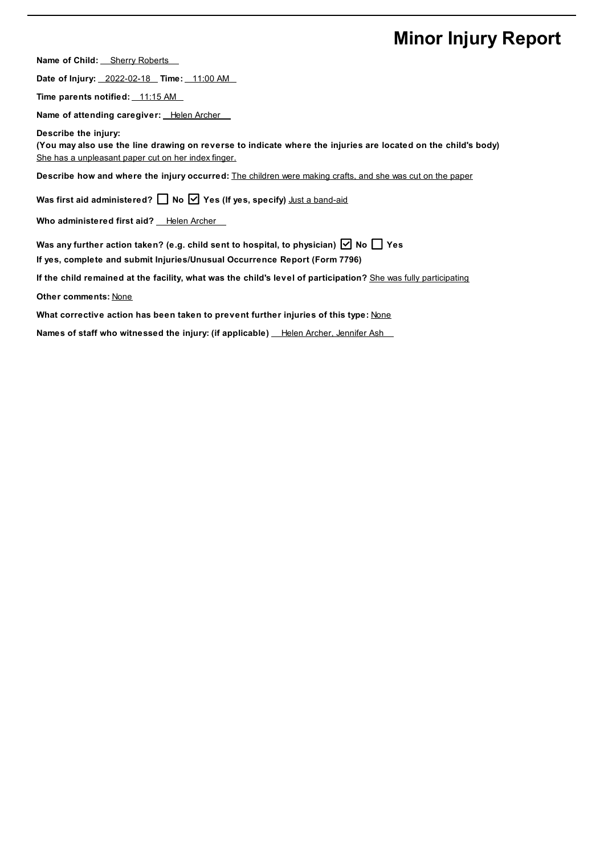## **Minor Injury Report**

**Name of Child:** Sherry Roberts

**Date of Injury:** 2022-02-18 **Time:** 11:00 AM

**Time parents notified:** 11:15 AM

**Name of attending caregiver:** Helen Archer

**Describe the injury:** (You may also use the line drawing on reverse to indicate where the injuries are located on the child's body) She has a unpleasant paper cut on her index finger.

**Describe how and where the injury occurred:** The children were making crafts, and she was cut on the paper

**Was first aid administered? No Yes (If yes, specify)** Just a band-aid

**Who administered** first aid? Helen Archer

**Was any further action taken? (e.g. child sent to hospital, to physician) No Yes**

**If yes, complete and submit Injuries/Unusual Occurrence Report (Form 7796)**

**If the child remained at the facility, what was the child's level of participation?** She was fully participating

**Other comments:** None

**What corrective action has been taken to prevent further injuries of this type:** None

**Names of staff who witnessed the injury: (if applicable) Helen Archer, Jennifer Ash**